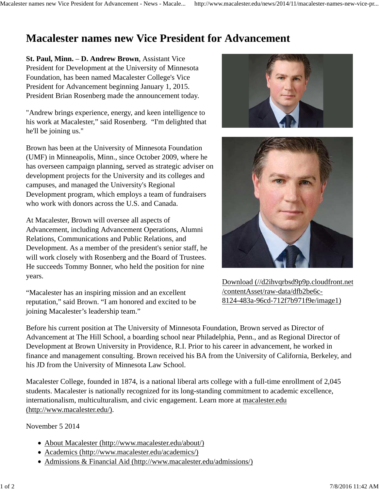## **Macalester names new Vice President for Advancement**

**St. Paul, Minn.** – **D. Andrew Brown**, Assistant Vice President for Development at the University of Minnesota Foundation, has been named Macalester College's Vice President for Advancement beginning January 1, 2015. President Brian Rosenberg made the announcement today.

"Andrew brings experience, energy, and keen intelligence to his work at Macalester," said Rosenberg. "I'm delighted that he'll be joining us."

Brown has been at the University of Minnesota Foundation (UMF) in Minneapolis, Minn., since October 2009, where he has overseen campaign planning, served as strategic adviser on development projects for the University and its colleges and campuses, and managed the University's Regional Development program, which employs a team of fundraisers who work with donors across the U.S. and Canada.

At Macalester, Brown will oversee all aspects of Advancement, including Advancement Operations, Alumni Relations, Communications and Public Relations, and Development. As a member of the president's senior staff, he will work closely with Rosenberg and the Board of Trustees. He succeeds Tommy Bonner, who held the position for nine years.

"Macalester has an inspiring mission and an excellent reputation," said Brown. "I am honored and excited to be joining Macalester's leadership team."





Download (//d2ihvqrbsd9p9p.cloudfront.net /contentAsset/raw-data/dfb2be6c-8124-483a-96cd-712f7b971f9e/image1)

Before his current position at The University of Minnesota Foundation, Brown served as Director of Advancement at The Hill School, a boarding school near Philadelphia, Penn., and as Regional Director of Development at Brown University in Providence, R.I. Prior to his career in advancement, he worked in finance and management consulting. Brown received his BA from the University of California, Berkeley, and his JD from the University of Minnesota Law School.

Macalester College, founded in 1874, is a national liberal arts college with a full-time enrollment of 2,045 students. Macalester is nationally recognized for its long-standing commitment to academic excellence, internationalism, multiculturalism, and civic engagement. Learn more at macalester.edu (http://www.macalester.edu/).

November 5 2014

- About Macalester (http://www.macalester.edu/about/)
- Academics (http://www.macalester.edu/academics/)
- Admissions & Financial Aid (http://www.macalester.edu/admissions/)